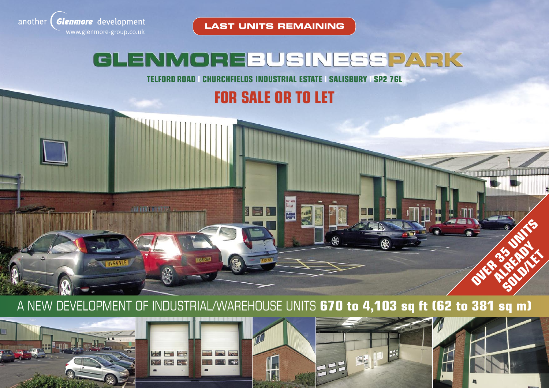

**LAST UNITS REMAINING**

# GLENMOREBUSINESSPARK

**TELFORD ROAD CHURCHFIELDS INDUSTRIAL ESTATE SALISBURY SP2 7GL** 

**FOR SALE OR TO LET**

A NEW DEVELOPMENT OF INDUSTRIAL/WAREHOUSE UNITS **670 to 4,103 sq ft (62 to 381 sq m)**

For Sale<br>To Let

Min





FI56 CIA

**IN ITAL IN STEP** 

Ford, RV54 VLE



a l



**OVER 35 UNITS OF ALREADY SOLD/LET**